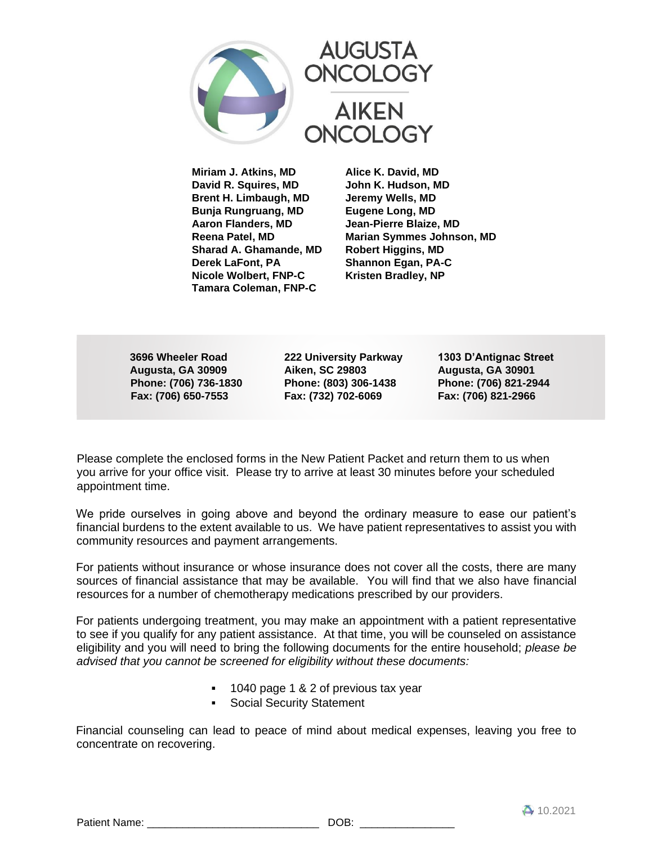

**Miriam J. Atkins, MD Alice K. David, MD David R. Squires, MD John K. Hudson, MD Brent H. Limbaugh, MD Jeremy Wells, MD Bunja Rungruang, MD Eugene Long, MD Aaron Flanders, MD Jean-Pierre Blaize, MD Sharad A. Ghamande, MD Robert Higgins, MD Derek LaFont, PA Shannon Egan, PA-C Nicole Wolbert, FNP-C Kristen Bradley, NP Tamara Coleman, FNP-C**

**Reena Patel, MD Marian Symmes Johnson, MD**

**3696 Wheeler Road 222 University Parkway 1303 D'Antignac Street Augusta, GA 30909 Aiken, SC 29803 Augusta, GA 30901 Phone: (706) 736-1830 Phone: (803) 306-1438 Phone: (706) 821-2944 Fax: (706) 650-7553 Fax: (732) 702-6069 Fax: (706) 821-2966**

Please complete the enclosed forms in the New Patient Packet and return them to us when you arrive for your office visit. Please try to arrive at least 30 minutes before your scheduled appointment time.

We pride ourselves in going above and beyond the ordinary measure to ease our patient's financial burdens to the extent available to us. We have patient representatives to assist you with community resources and payment arrangements.

For patients without insurance or whose insurance does not cover all the costs, there are many sources of financial assistance that may be available. You will find that we also have financial resources for a number of chemotherapy medications prescribed by our providers.

For patients undergoing treatment, you may make an appointment with a patient representative to see if you qualify for any patient assistance. At that time, you will be counseled on assistance eligibility and you will need to bring the following documents for the entire household; *please be advised that you cannot be screened for eligibility without these documents:*

- 1040 page 1 & 2 of previous tax year
- **Social Security Statement**

Financial counseling can lead to peace of mind about medical expenses, leaving you free to concentrate on recovering.

Patient Name: \_\_\_\_\_\_\_\_\_\_\_\_\_\_\_\_\_\_\_\_\_\_\_\_\_\_\_\_\_ DOB: \_\_\_\_\_\_\_\_\_\_\_\_\_\_\_\_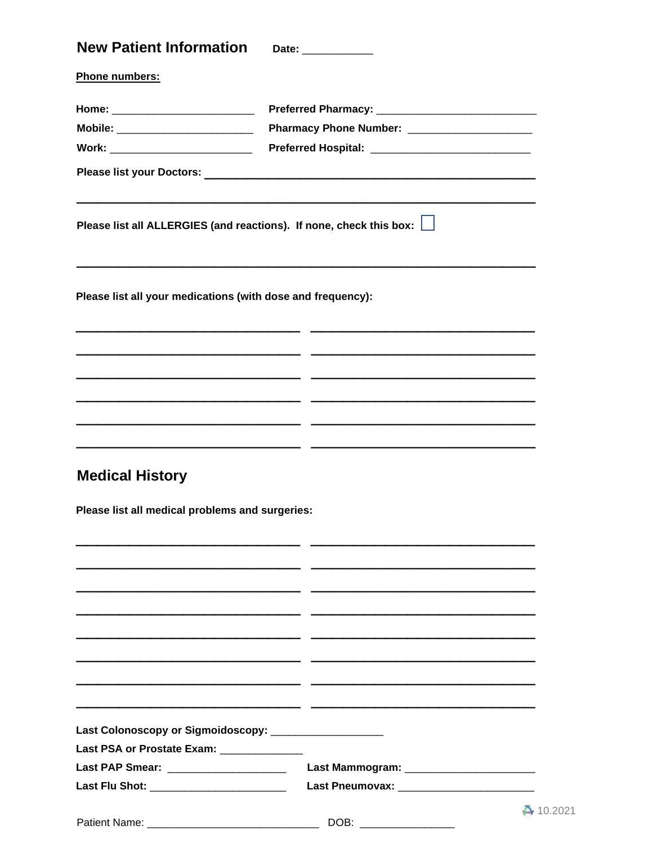| <b>New Patient Information</b>                                          | Date: _____________                            |                     |
|-------------------------------------------------------------------------|------------------------------------------------|---------------------|
| Phone numbers:                                                          |                                                |                     |
| Home: ____________________________<br>Mobile: _________________________ | Pharmacy Phone Number: _______________________ |                     |
| Please list all ALLERGIES (and reactions). If none, check this box:     |                                                |                     |
| Please list all your medications (with dose and frequency):             |                                                |                     |
| <u> 1980 - Jan Barbara, martin da kasar Amerikaan kasar da</u>          |                                                |                     |
|                                                                         |                                                |                     |
| <b>Medical History</b>                                                  |                                                |                     |
| Please list all medical problems and surgeries:                         |                                                |                     |
|                                                                         |                                                |                     |
|                                                                         |                                                |                     |
|                                                                         |                                                |                     |
| Last Colonoscopy or Sigmoidoscopy: _____________________                |                                                |                     |
| Last PSA or Prostate Exam: ______________                               |                                                |                     |
| Last PAP Smear: ______________________                                  | Last Mammogram: __________________________     |                     |
| Last Flu Shot: __________________________                               |                                                |                     |
|                                                                         | DOB: __________________                        | $\bigoplus$ 10.2021 |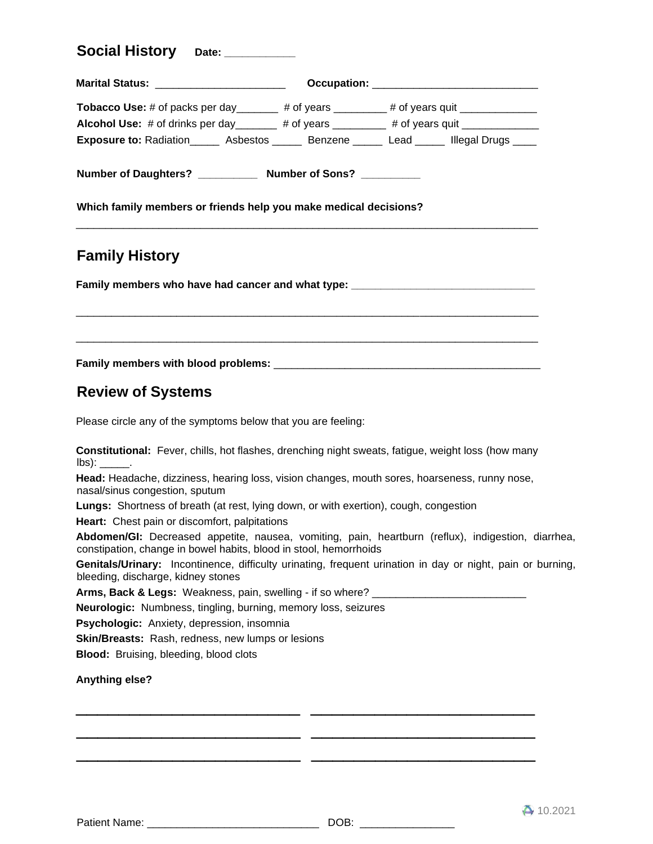| <b>Social History</b> | Date: |
|-----------------------|-------|
|-----------------------|-------|

| <b>Tobacco Use:</b> # of packs per day ________ # of years ________ # of years quit _____________                                                                                                |  |  |  |  |
|--------------------------------------------------------------------------------------------------------------------------------------------------------------------------------------------------|--|--|--|--|
| Alcohol Use: # of drinks per day_______ # of years ________ # of years quit ___________<br><b>Exposure to:</b> Radiation ______ Asbestos _______ Benzene _______ Lead ______ Illegal Drugs _____ |  |  |  |  |
| Number of Daughters? ____________ Number of Sons? _________                                                                                                                                      |  |  |  |  |
| Which family members or friends help you make medical decisions?                                                                                                                                 |  |  |  |  |
| <b>Family History</b>                                                                                                                                                                            |  |  |  |  |
| Family members who have had cancer and what type: ______________________________                                                                                                                 |  |  |  |  |

\_\_\_\_\_\_\_\_\_\_\_\_\_\_\_\_\_\_\_\_\_\_\_\_\_\_\_\_\_\_\_\_\_\_\_\_\_\_\_\_\_\_\_\_\_\_\_\_\_\_\_\_\_\_\_\_\_\_\_\_\_\_\_\_\_\_\_\_\_\_\_\_\_\_\_\_\_\_

\_\_\_\_\_\_\_\_\_\_\_\_\_\_\_\_\_\_\_\_\_\_\_\_\_\_\_\_\_\_\_\_\_\_\_\_\_\_\_\_\_\_\_\_\_\_\_\_\_\_\_\_\_\_\_\_\_\_\_\_\_\_\_\_\_\_\_\_\_\_\_\_\_\_\_\_\_\_

**Family members with blood problems:** \_\_\_\_\_\_\_\_\_\_\_\_\_\_\_\_\_\_\_\_\_\_\_\_\_\_\_\_\_\_\_\_\_\_\_\_\_\_\_\_\_\_\_\_\_

### **Review of Systems**

Please circle any of the symptoms below that you are feeling:

**Constitutional:** Fever, chills, hot flashes, drenching night sweats, fatigue, weight loss (how many  $\mathsf{lbs}$ :

**Head:** Headache, dizziness, hearing loss, vision changes, mouth sores, hoarseness, runny nose, nasal/sinus congestion, sputum

\_\_\_\_\_\_\_\_\_\_\_\_\_\_\_\_\_\_\_\_\_ \_\_\_\_\_\_\_\_\_\_\_\_\_\_\_\_\_\_\_\_\_

 $\frac{1}{2}$  ,  $\frac{1}{2}$  ,  $\frac{1}{2}$  ,  $\frac{1}{2}$  ,  $\frac{1}{2}$  ,  $\frac{1}{2}$  ,  $\frac{1}{2}$  ,  $\frac{1}{2}$  ,  $\frac{1}{2}$  ,  $\frac{1}{2}$  ,  $\frac{1}{2}$  ,  $\frac{1}{2}$  ,  $\frac{1}{2}$ \_\_\_\_\_\_\_\_\_\_\_\_\_\_\_\_\_\_\_\_\_ \_\_\_\_\_\_\_\_\_\_\_\_\_\_\_\_\_\_\_\_\_

**Lungs:** Shortness of breath (at rest, lying down, or with exertion), cough, congestion

**Heart:** Chest pain or discomfort, palpitations

**Abdomen/GI:** Decreased appetite, nausea, vomiting, pain, heartburn (reflux), indigestion, diarrhea, constipation, change in bowel habits, blood in stool, hemorrhoids

**Genitals/Urinary:** Incontinence, difficulty urinating, frequent urination in day or night, pain or burning, bleeding, discharge, kidney stones

**Arms, Back & Legs:** Weakness, pain, swelling - if so where? \_\_\_\_\_\_\_\_\_\_\_\_\_\_\_\_\_\_\_\_\_\_\_\_\_\_

**Neurologic:** Numbness, tingling, burning, memory loss, seizures

**Psychologic:** Anxiety, depression, insomnia

**Skin/Breasts:** Rash, redness, new lumps or lesions

**Blood:** Bruising, bleeding, blood clots

#### **Anything else?**

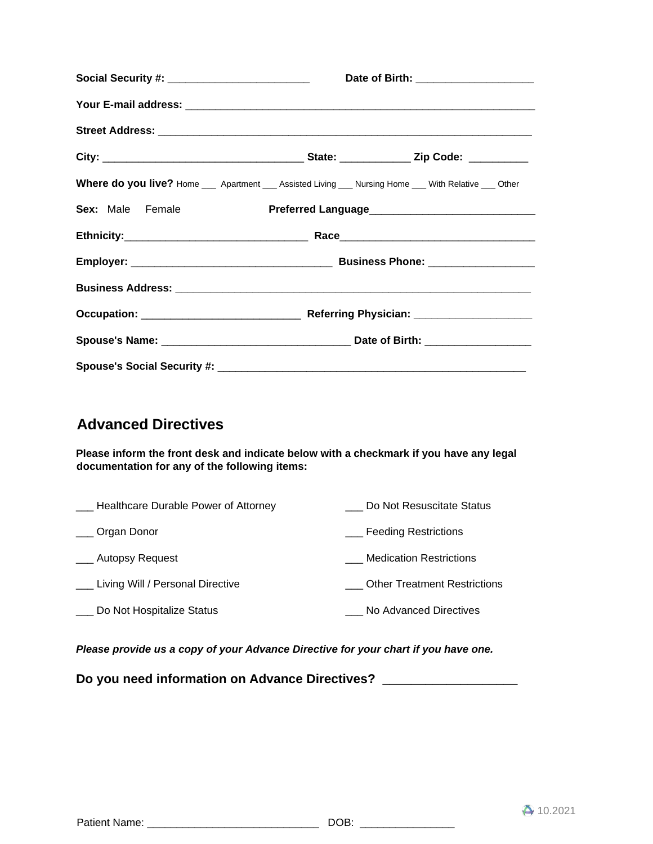| Social Security #: ___________________________ | Date of Birth: ______________________                                                                   |  |  |
|------------------------------------------------|---------------------------------------------------------------------------------------------------------|--|--|
|                                                |                                                                                                         |  |  |
|                                                |                                                                                                         |  |  |
|                                                |                                                                                                         |  |  |
|                                                | Where do you live? Home ____ Apartment ___ Assisted Living ___ Nursing Home ___ With Relative ___ Other |  |  |
| Sex: Male Female                               |                                                                                                         |  |  |
|                                                |                                                                                                         |  |  |
|                                                |                                                                                                         |  |  |
|                                                |                                                                                                         |  |  |
|                                                |                                                                                                         |  |  |
|                                                |                                                                                                         |  |  |
|                                                |                                                                                                         |  |  |

### **Advanced Directives**

**Please inform the front desk and indicate below with a checkmark if you have any legal documentation for any of the following items:** 

| Healthcare Durable Power of Attorney | Do Not Resuscitate Status           |
|--------------------------------------|-------------------------------------|
| Organ Donor                          | <b>Feeding Restrictions</b>         |
| Autopsy Request                      | <b>Medication Restrictions</b>      |
| Living Will / Personal Directive     | <b>Other Treatment Restrictions</b> |
| Do Not Hospitalize Status            | No Advanced Directives              |

*Please provide us a copy of your Advance Directive for your chart if you have one.* 

**Do you need information on Advance Directives? \_\_\_\_\_\_\_\_\_\_\_\_\_\_\_\_\_\_\_**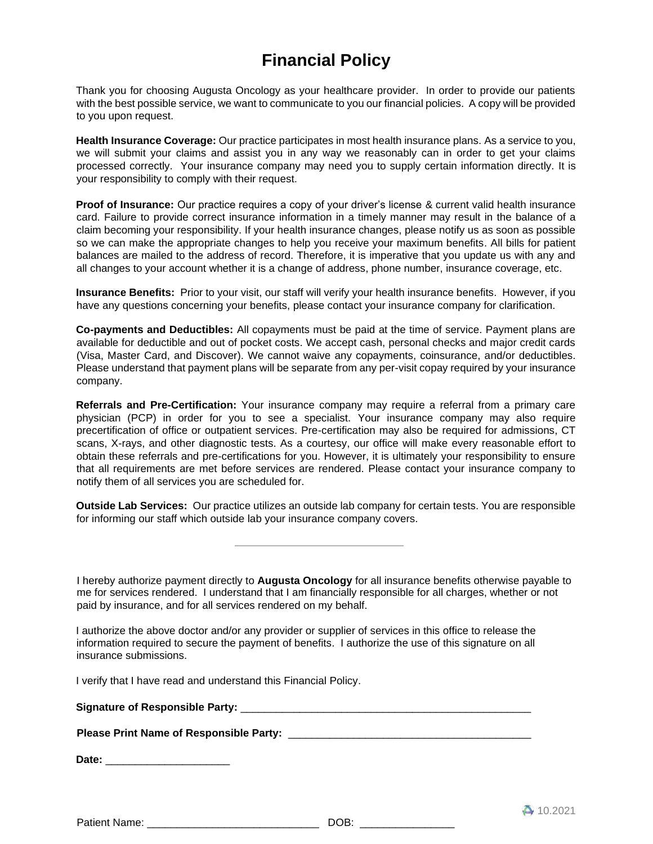# **Financial Policy**

Thank you for choosing Augusta Oncology as your healthcare provider. In order to provide our patients with the best possible service, we want to communicate to you our financial policies. A copy will be provided to you upon request.

**Health Insurance Coverage:** Our practice participates in most health insurance plans. As a service to you, we will submit your claims and assist you in any way we reasonably can in order to get your claims processed correctly. Your insurance company may need you to supply certain information directly. It is your responsibility to comply with their request.

**Proof of Insurance:** Our practice requires a copy of your driver's license & current valid health insurance card. Failure to provide correct insurance information in a timely manner may result in the balance of a claim becoming your responsibility. If your health insurance changes, please notify us as soon as possible so we can make the appropriate changes to help you receive your maximum benefits. All bills for patient balances are mailed to the address of record. Therefore, it is imperative that you update us with any and all changes to your account whether it is a change of address, phone number, insurance coverage, etc.

**Insurance Benefits:** Prior to your visit, our staff will verify your health insurance benefits. However, if you have any questions concerning your benefits, please contact your insurance company for clarification.

**Co-payments and Deductibles:** All copayments must be paid at the time of service. Payment plans are available for deductible and out of pocket costs. We accept cash, personal checks and major credit cards (Visa, Master Card, and Discover). We cannot waive any copayments, coinsurance, and/or deductibles. Please understand that payment plans will be separate from any per-visit copay required by your insurance company.

**Referrals and Pre-Certification:** Your insurance company may require a referral from a primary care physician (PCP) in order for you to see a specialist. Your insurance company may also require precertification of office or outpatient services. Pre-certification may also be required for admissions, CT scans, X-rays, and other diagnostic tests. As a courtesy, our office will make every reasonable effort to obtain these referrals and pre-certifications for you. However, it is ultimately your responsibility to ensure that all requirements are met before services are rendered. Please contact your insurance company to notify them of all services you are scheduled for.

**Outside Lab Services:** Our practice utilizes an outside lab company for certain tests. You are responsible for informing our staff which outside lab your insurance company covers.

I hereby authorize payment directly to **Augusta Oncology** for all insurance benefits otherwise payable to me for services rendered. I understand that I am financially responsible for all charges, whether or not paid by insurance, and for all services rendered on my behalf.

I authorize the above doctor and/or any provider or supplier of services in this office to release the information required to secure the payment of benefits. I authorize the use of this signature on all insurance submissions.

I verify that I have read and understand this Financial Policy.

**Signature of Responsible Party:** \_\_\_\_\_\_\_\_\_\_\_\_\_\_\_\_\_\_\_\_\_\_\_\_\_\_\_\_\_\_\_\_\_\_\_\_\_\_\_\_\_\_\_\_\_\_\_\_\_

**Please Print Name of Responsible Party:** \_\_\_\_\_\_\_\_\_\_\_\_\_\_\_\_\_\_\_\_\_\_\_\_\_\_\_\_\_\_\_\_\_\_\_\_\_\_\_\_\_

**Date:** \_\_\_\_\_\_\_\_\_\_\_\_\_\_\_\_\_\_\_\_\_

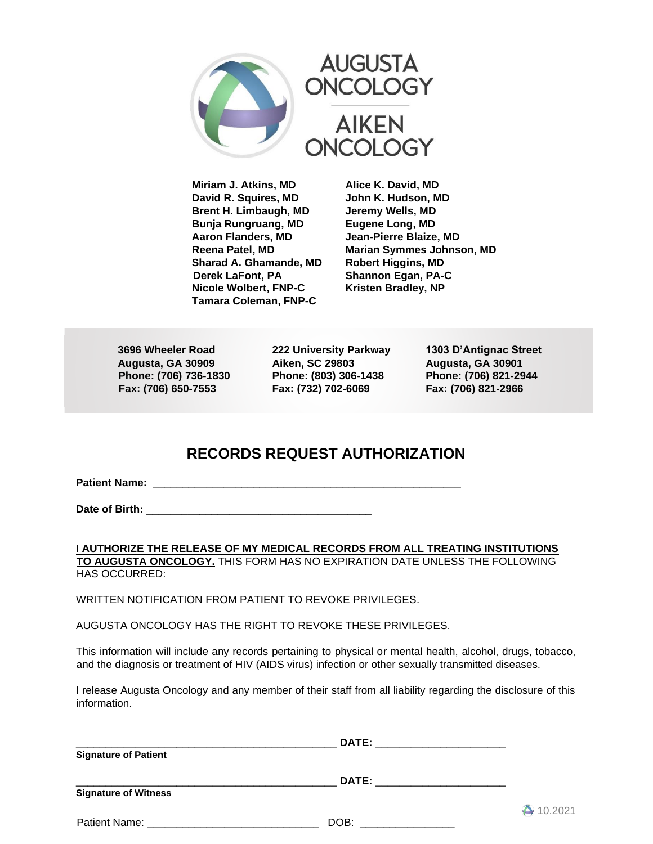

**Miriam J. Atkins, MD Alice K. David, MD David R. Squires, MD John K. Hudson, MD Brent H. Limbaugh, MD Jeremy Wells, MD Bunja Rungruang, MD Eugene Long, MD Aaron Flanders, MD Jean-Pierre Blaize, MD Sharad A. Ghamande, MD Robert Higgins, MD Derek LaFont, PA Shannon Egan, PA-C Nicole Wolbert, FNP-C Kristen Bradley, NP Tamara Coleman, FNP-C**

**Reena Patel, MD Marian Symmes Johnson, MD**

**3696 Wheeler Road 222 University Parkway 1303 D'Antignac Street Augusta, GA 30909 Aiken, SC 29803 Augusta, GA 30901 Phone: (706) 736-1830 Phone: (803) 306-1438 Phone: (706) 821-2944 Fax: (706) 650-7553 Fax: (732) 702-6069 Fax: (706) 821-2966**

## **RECORDS REQUEST AUTHORIZATION**

**Patient Name: and the set of the set of the set of the set of the set of the set of the set of the set of the set of the set of the set of the set of the set of the set of the set of the set of the set of the set of the** 

**Date of Birth:** \_\_\_\_\_\_\_\_\_\_\_\_\_\_\_\_\_\_\_\_\_\_\_\_\_\_\_\_\_\_\_\_\_\_\_\_\_\_

**I AUTHORIZE THE RELEASE OF MY MEDICAL RECORDS FROM ALL TREATING INSTITUTIONS TO AUGUSTA ONCOLOGY.** THIS FORM HAS NO EXPIRATION DATE UNLESS THE FOLLOWING HAS OCCURRED:

WRITTEN NOTIFICATION FROM PATIENT TO REVOKE PRIVILEGES.

AUGUSTA ONCOLOGY HAS THE RIGHT TO REVOKE THESE PRIVILEGES.

This information will include any records pertaining to physical or mental health, alcohol, drugs, tobacco, and the diagnosis or treatment of HIV (AIDS virus) infection or other sexually transmitted diseases.

I release Augusta Oncology and any member of their staff from all liability regarding the disclosure of this information.

|                                                                                                                                                                                                                               | <b>DATE:</b> |                     |
|-------------------------------------------------------------------------------------------------------------------------------------------------------------------------------------------------------------------------------|--------------|---------------------|
| <b>Signature of Patient</b>                                                                                                                                                                                                   |              |                     |
|                                                                                                                                                                                                                               | <b>DATE:</b> |                     |
| <b>Signature of Witness</b>                                                                                                                                                                                                   |              | $\bigoplus$ 10.2021 |
| Patient Name: The Contract of the Contract of the Contract of the Contract of the Contract of the Contract of the Contract of the Contract of the Contract of the Contract of the Contract of the Contract of the Contract of | DOB:         |                     |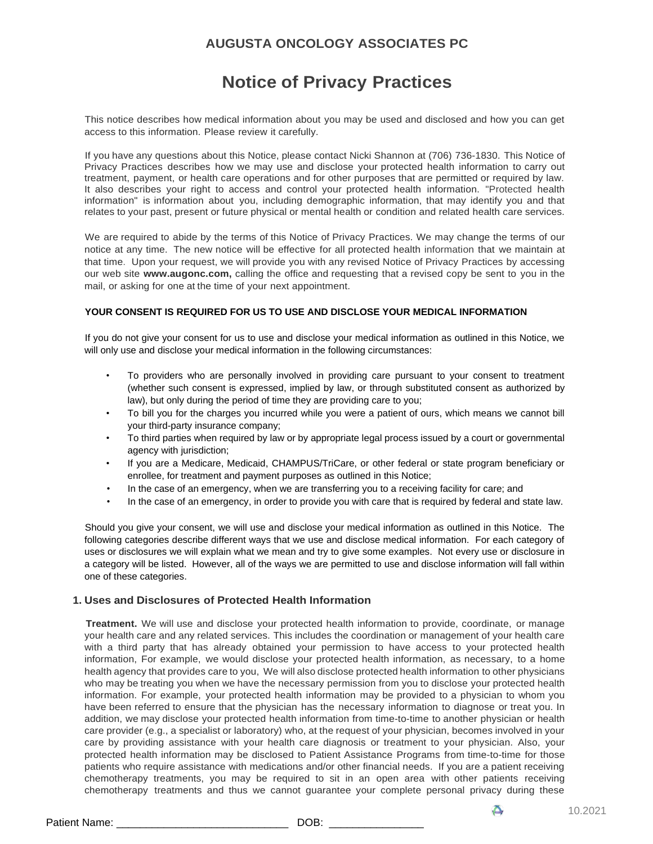### **AUGUSTA ONCOLOGY ASSOCIATES PC**

# **Notice of Privacy Practices**

This notice describes how medical information about you may be used and disclosed and how you can get access to this information. Please review it carefully.

If you have any questions about this Notice, please contact Nicki Shannon at (706) 736-1830. This Notice of Privacy Practices describes how we may use and disclose your protected health information to carry out treatment, payment, or health care operations and for other purposes that are permitted or required by law. It also describes your right to access and control your protected health information. "Protected health information" is information about you, including demographic information, that may identify you and that relates to your past, present or future physical or mental health or condition and related health care services.

We are required to abide by the terms of this Notice of Privacy Practices. We may change the terms of our notice at any time. The new notice will be effective for all protected health information that we maintain at that time. Upon your request, we will provide you with any revised Notice of Privacy Practices by accessing our web site **[www.augonc.com,](http://www.augonc.com/)** calling the office and requesting that a revised copy be sent to you in the mail, or asking for one at the time of your next appointment.

#### **YOUR CONSENT IS REQUIRED FOR US TO USE AND DISCLOSE YOUR MEDICAL INFORMATION**

If you do not give your consent for us to use and disclose your medical information as outlined in this Notice, we will only use and disclose your medical information in the following circumstances:

- To providers who are personally involved in providing care pursuant to your consent to treatment (whether such consent is expressed, implied by law, or through substituted consent as authorized by law), but only during the period of time they are providing care to you;
- To bill you for the charges you incurred while you were a patient of ours, which means we cannot bill your third-party insurance company;
- To third parties when required by law or by appropriate legal process issued by a court or governmental agency with jurisdiction;
- If you are a Medicare, Medicaid, CHAMPUS/TriCare, or other federal or state program beneficiary or enrollee, for treatment and payment purposes as outlined in this Notice;
- In the case of an emergency, when we are transferring you to a receiving facility for care; and
- In the case of an emergency, in order to provide you with care that is required by federal and state law.

Should you give your consent, we will use and disclose your medical information as outlined in this Notice. The following categories describe different ways that we use and disclose medical information. For each category of uses or disclosures we will explain what we mean and try to give some examples. Not every use or disclosure in a category will be listed. However, all of the ways we are permitted to use and disclose information will fall within one of these categories.

#### **1. Uses and Disclosures of Protected Health Information**

**Treatment.** We will use and disclose your protected health information to provide, coordinate, or manage your health care and any related services. This includes the coordination or management of your health care with a third party that has already obtained your permission to have access to your protected health information, For example, we would disclose your protected health information, as necessary, to a home health agency that provides care to you, We will also disclose protected health information to other physicians who may be treating you when we have the necessary permission from you to disclose your protected health information. For example, your protected health information may be provided to a physician to whom you have been referred to ensure that the physician has the necessary information to diagnose or treat you. In addition, we may disclose your protected health information from time-to-time to another physician or health care provider (e.g., a specialist or laboratory) who, at the request of your physician, becomes involved in your care by providing assistance with your health care diagnosis or treatment to your physician. Also, your protected health information may be disclosed to Patient Assistance Programs from time-to-time for those patients who require assistance with medications and/or other financial needs. If you are a patient receiving chemotherapy treatments, you may be required to sit in an open area with other patients receiving chemotherapy treatments and thus we cannot guarantee your complete personal privacy during these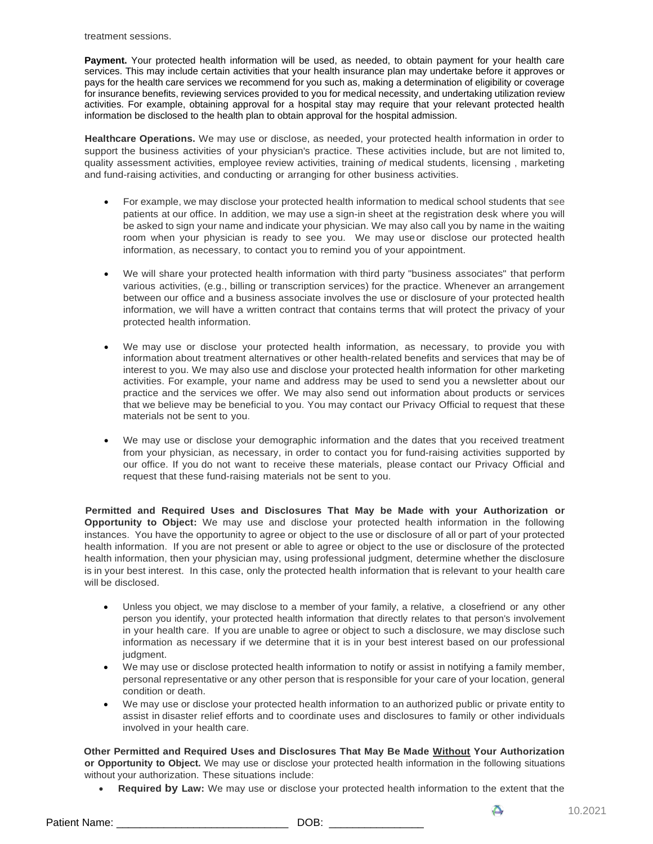treatment sessions.

**Payment.** Your protected health information will be used, as needed, to obtain payment for your health care services. This may include certain activities that your health insurance plan may undertake before it approves or pays for the health care services we recommend for you such as, making a determination of eligibility or coverage for insurance benefits, reviewing services provided to you for medical necessity, and undertaking utilization review activities. For example, obtaining approval for a hospital stay may require that your relevant protected health information be disclosed to the health plan to obtain approval for the hospital admission.

**Healthcare Operations.** We may use or disclose, as needed, your protected health information in order to support the business activities of your physician's practice. These activities include, but are not limited to, quality assessment activities, employee review activities, training *of* medical students, licensing , marketing and fund-raising activities, and conducting or arranging for other business activities.

- For example, we may disclose your protected health information to medical school students that see patients at our office. In addition, we may use a sign-in sheet at the registration desk where you will be asked to sign your name and indicate your physician. We may also call you by name in the waiting room when your physician is ready to see you. We may use or disclose our protected health information, as necessary, to contact you to remind you of your appointment.
- We will share your protected health information with third party "business associates" that perform various activities, (e.g., billing or transcription services) for the practice. Whenever an arrangement between our office and a business associate involves the use or disclosure of your protected health information, we will have a written contract that contains terms that will protect the privacy of your protected health information.
- We may use or disclose your protected health information, as necessary, to provide you with information about treatment alternatives or other health-related benefits and services that may be of interest to you. We may also use and disclose your protected health information for other marketing activities. For example, your name and address may be used to send you a newsletter about our practice and the services we offer. We may also send out information about products or services that we believe may be beneficial to you. You may contact our Privacy Official to request that these materials not be sent to you.
- We may use or disclose your demographic information and the dates that you received treatment from your physician, as necessary, in order to contact you for fund-raising activities supported by our office. If you do not want to receive these materials, please contact our Privacy Official and request that these fund-raising materials not be sent to you.

**Permitted and Required Uses and Disclosures That May be Made with your Authorization or Opportunity to Object:** We may use and disclose your protected health information in the following instances. You have the opportunity to agree or object to the use or disclosure of all or part of your protected health information. If you are not present or able to agree or object to the use or disclosure of the protected health information, then your physician may, using professional judgment, determine whether the disclosure is in your best interest. In this case, only the protected health information that is relevant to your health care will be disclosed.

- Unless you object, we may disclose to a member of your family, a relative, a closefriend or any other person you identify, your protected health information that directly relates to that person's involvement in your health care. If you are unable to agree or object to such a disclosure, we may disclose such information as necessary if we determine that it is in your best interest based on our professional judgment.
- We may use or disclose protected health information to notify or assist in notifying a family member, personal representative or any other person that is responsible for your care of your location, general condition or death.
- We may use or disclose your protected health information to an authorized public or private entity to assist in disaster relief efforts and to coordinate uses and disclosures to family or other individuals involved in your health care.

**Other Permitted and Required Uses and Disclosures That May Be Made Without Your Authorization or Opportunity to Object.** We may use or disclose your protected health information in the following situations without your authorization. These situations include:

• **Required by Law:** We may use or disclose your protected health information to the extent that the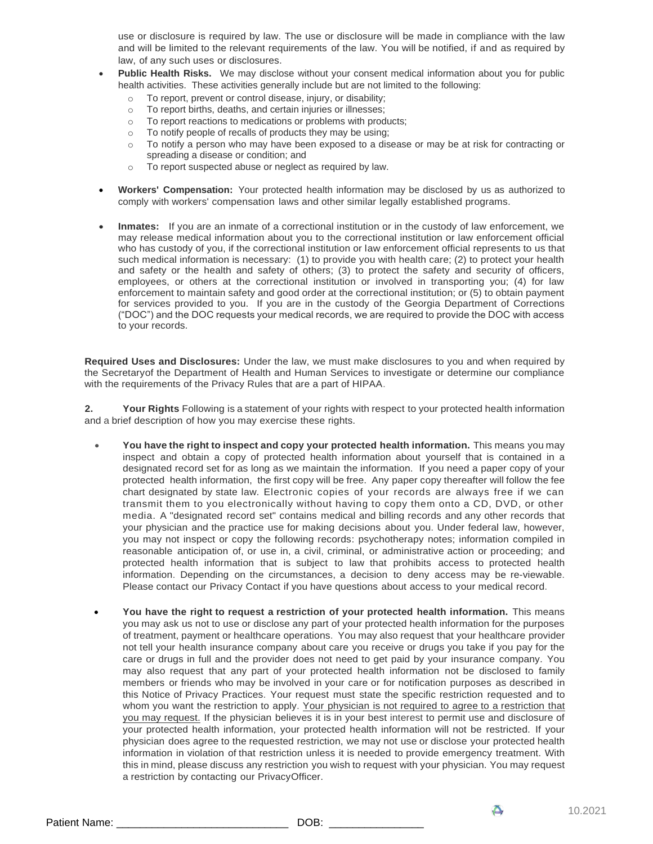use or disclosure is required by law. The use or disclosure will be made in compliance with the law and will be limited to the relevant requirements of the law. You will be notified, if and as required by law, of any such uses or disclosures.

- **Public Health Risks.** We may disclose without your consent medical information about you for public health activities. These activities generally include but are not limited to the following:
	- o To report, prevent or control disease, injury, or disability;
	- o To report births, deaths, and certain injuries or illnesses;
	- o To report reactions to medications or problems with products;
	- o To notify people of recalls of products they may be using;
	- $\circ$  To notify a person who may have been exposed to a disease or may be at risk for contracting or spreading a disease or condition; and
	- o To report suspected abuse or neglect as required by law.
- **Workers' Compensation:** Your protected health information may be disclosed by us as authorized to comply with workers' compensation laws and other similar legally established programs.
- **Inmates:** If you are an inmate of a correctional institution or in the custody of law enforcement, we may release medical information about you to the correctional institution or law enforcement official who has custody of you, if the correctional institution or law enforcement official represents to us that such medical information is necessary: (1) to provide you with health care; (2) to protect your health and safety or the health and safety of others; (3) to protect the safety and security of officers, employees, or others at the correctional institution or involved in transporting you; (4) for law enforcement to maintain safety and good order at the correctional institution; or (5) to obtain payment for services provided to you. If you are in the custody of the Georgia Department of Corrections ("DOC") and the DOC requests your medical records, we are required to provide the DOC with access to your records.

**Required Uses and Disclosures:** Under the law, we must make disclosures to you and when required by the Secretaryof the Department of Health and Human Services to investigate or determine our compliance with the requirements of the Privacy Rules that are a part of HIPAA.

**2. Your Rights** Following is a statement of your rights with respect to your protected health information and a brief description of how you may exercise these rights.

- **You have the right to inspect and copy your protected health information.** This means you may inspect and obtain a copy of protected health information about yourself that is contained in a designated record set for as long as we maintain the information. If you need a paper copy of your protected health information, the first copy will be free. Any paper copy thereafter will follow the fee chart designated by state law. Electronic copies of your records are always free if we can transmit them to you electronically without having to copy them onto a CD, DVD, or other media. A "designated record set" contains medical and billing records and any other records that your physician and the practice use for making decisions about you. Under federal law, however, you may not inspect or copy the following records: psychotherapy notes; information compiled in reasonable anticipation of, or use in, a civil, criminal, or administrative action or proceeding; and protected health information that is subject to law that prohibits access to protected health information. Depending on the circumstances, a decision to deny access may be re-viewable. Please contact our Privacy Contact if you have questions about access to your medical record.
- **You have the right to request a restriction of your protected health information.** This means you may ask us not to use or disclose any part of your protected health information for the purposes of treatment, payment or healthcare operations. You may also request that your healthcare provider not tell your health insurance company about care you receive or drugs you take if you pay for the care or drugs in full and the provider does not need to get paid by your insurance company. You may also request that any part of your protected health information not be disclosed to family members or friends who may be involved in your care or for notification purposes as described in this Notice of Privacy Practices. Your request must state the specific restriction requested and to whom you want the restriction to apply. Your physician is not required to agree to a restriction that you may request. If the physician believes it is in your best interest to permit use and disclosure of your protected health information, your protected health information will not be restricted. If your physician does agree to the requested restriction, we may not use or disclose your protected health information in violation of that restriction unless it is needed to provide emergency treatment. With this in mind, please discuss any restriction you wish to request with your physician. You may request a restriction by contacting our PrivacyOfficer.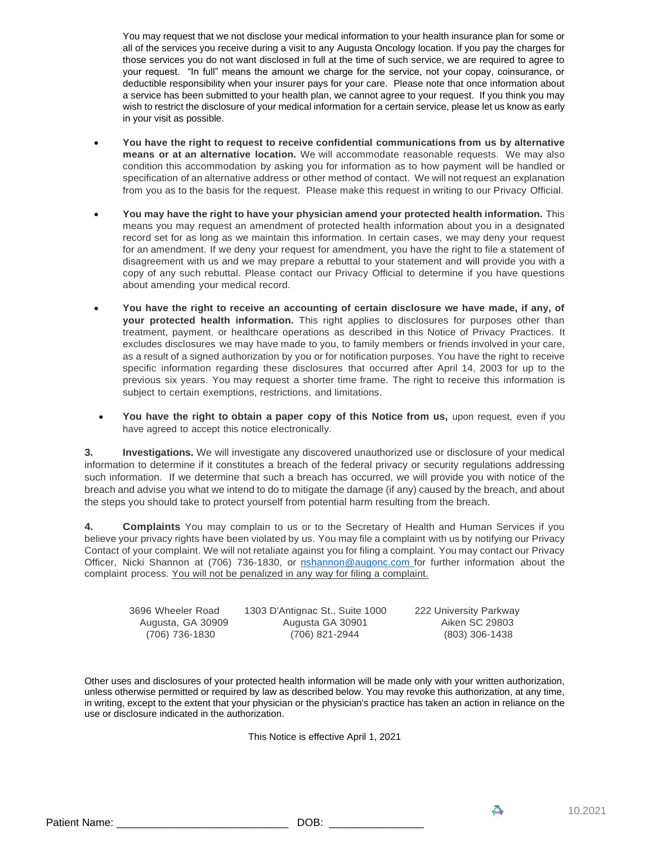You may request that we not disclose your medical information to your health insurance plan for some or all of the services you receive during a visit to any Augusta Oncology location. If you pay the charges for those services you do not want disclosed in full at the time of such service, we are required to agree to your request. "In full" means the amount we charge for the service, not your copay, coinsurance, or deductible responsibility when your insurer pays for your care. Please note that once information about a service has been submitted to your health plan, we cannot agree to your request. If you think you may wish to restrict the disclosure of your medical information for a certain service, please let us know as early in your visit as possible.

- **You have the right to request to receive confidential communications from us by alternative means or at an alternative location.** We will accommodate reasonable requests. We may also condition this accommodation by asking you for information as to how payment will be handled or specification of an alternative address or other method of contact. We will not request an explanation from you as to the basis for the request. Please make this request in writing to our Privacy Official.
- **You may have the right to have your physician amend your protected health information.** This means you may request an amendment of protected health information about you in a designated record set for as long as we maintain this information. In certain cases, we may deny your request for an amendment. If we deny your request for amendment, you have the right to file a statement of disagreement with us and we may prepare a rebuttal to your statement and will provide you with a copy of any such rebuttal. Please contact our Privacy Official to determine if you have questions about amending your medical record.
- **You have the right to receive an accounting of certain disclosure we have made, if any, of your protected health information.** This right applies to disclosures for purposes other than treatment, payment, or healthcare operations as described in this Notice of Privacy Practices. It excludes disclosures we may have made to you, to family members or friends involved in your care, as a result of a signed authorization by you or for notification purposes. You have the right to receive specific information regarding these disclosures that occurred after April 14, 2003 for up to the previous six years. You may request a shorter time frame. The right to receive this information is subject to certain exemptions, restrictions, and limitations.
- **You have the right to obtain a paper copy of this Notice from us,** upon request, even if you have agreed to accept this notice electronically.

**3. Investigations.** We will investigate any discovered unauthorized use or disclosure of your medical information to determine if it constitutes a breach of the federal privacy or security regulations addressing such information. If we determine that such a breach has occurred, we will provide you with notice of the breach and advise you what we intend to do to mitigate the damage (if any) caused by the breach, and about the steps you should take to protect yourself from potential harm resulting from the breach.

**4. Complaints** You may complain to us or to the Secretary of Health and Human Services if you believe your privacy rights have been violated by us. You may file a complaint with us by notifying our Privacy Contact of your complaint. We will not retaliate against you for filing a complaint. You may contact our Privacy Officer, Nicki Shannon at (706) 736-1830, or **[nshannon@augonc.com](mailto:nshannon@augonc.com)** for further information about the complaint process. You will not be penalized in any way for filing a complaint.

| 3696 Wheeler Road | 1303 D'Antignac St., Suite 1000 | 222 University Parkway |
|-------------------|---------------------------------|------------------------|
| Augusta, GA 30909 | Augusta GA 30901                | Aiken SC 29803         |
| (706) 736-1830    | (706) 821-2944                  | $(803)$ 306-1438       |

Other uses and disclosures of your protected health information will be made only with your written authorization, unless otherwise permitted or required by law as described below. You may revoke this authorization, at any time, in writing, except to the extent that your physician or the physician's practice has taken an action in reliance on the use or disclosure indicated in the authorization.

This Notice is effective April 1, 2021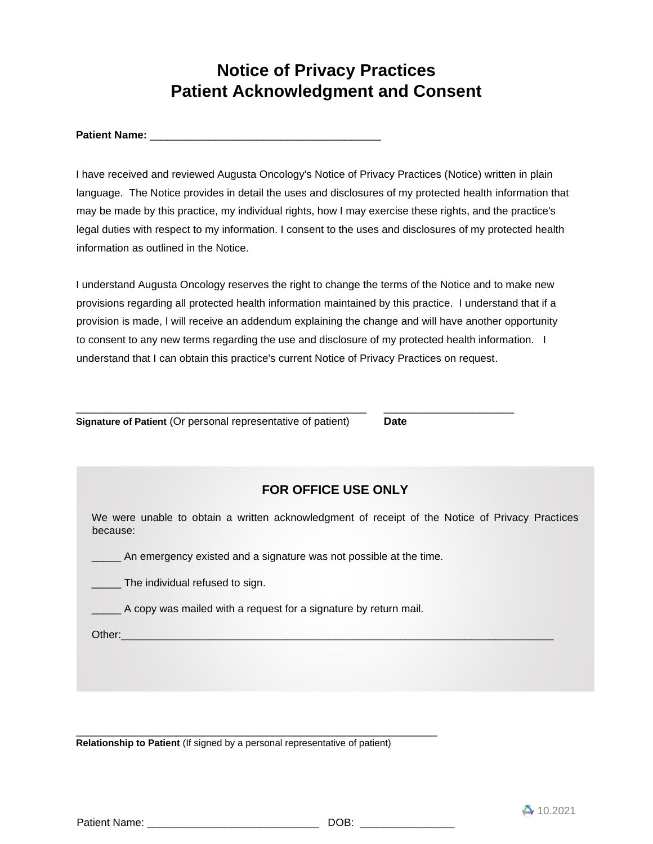# **Notice of Privacy Practices Patient Acknowledgment and Consent**

**Patient Name:** 

I have received and reviewed Augusta Oncology's Notice of Privacy Practices (Notice) written in plain language. The Notice provides in detail the uses and disclosures of my protected health information that may be made by this practice, my individual rights, how I may exercise these rights, and the practice's legal duties with respect to my information. I consent to the uses and disclosures of my protected health information as outlined in the Notice.

I understand Augusta Oncology reserves the right to change the terms of the Notice and to make new provisions regarding all protected health information maintained by this practice. I understand that if a provision is made, I will receive an addendum explaining the change and will have another opportunity to consent to any new terms regarding the use and disclosure of my protected health information. I understand that I can obtain this practice's current Notice of Privacy Practices on request.

\_\_\_\_\_\_\_\_\_\_\_\_\_\_\_\_\_\_\_\_\_\_\_\_\_\_\_\_\_\_\_\_\_\_\_\_\_\_\_\_\_\_\_\_\_\_\_\_\_ \_\_\_\_\_\_\_\_\_\_\_\_\_\_\_\_\_\_\_\_\_\_

**Signature of Patient** (Or personal representative of patient) **Date**

We were unable to obtain a written acknowledgment of receipt of the Notice of Privacy Practices

**FOR OFFICE USE ONLY**

\_\_\_\_\_ An emergency existed and a signature was not possible at the time.

The individual refused to sign.

\_\_\_\_\_ A copy was mailed with a request for a signature by return mail.

Other:

because:

**Relationship to Patient** (If signed by a personal representative of patient)

\_\_\_\_\_\_\_\_\_\_\_\_\_\_\_\_\_\_\_\_\_\_\_\_\_\_\_\_\_\_\_\_\_\_\_\_\_\_\_\_\_\_\_\_\_\_\_\_\_\_\_\_\_\_\_\_\_\_\_\_\_

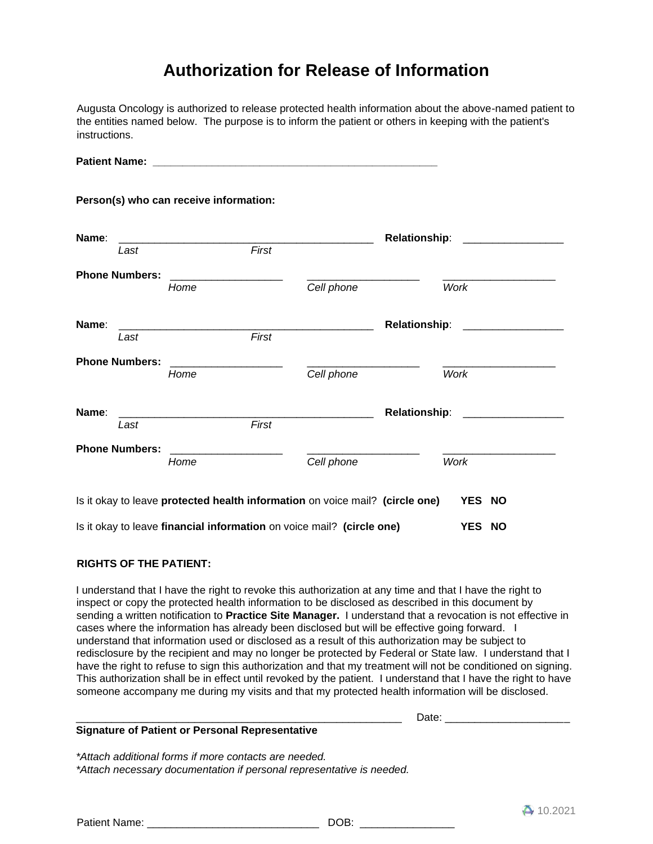## **Authorization for Release of Information**

Augusta Oncology is authorized to release protected health information about the above-named patient to the entities named below. The purpose is to inform the patient or others in keeping with the patient's instructions.

**Patient Name: \_\_\_\_\_\_\_\_\_\_\_\_\_\_\_\_\_\_\_\_\_\_\_\_\_\_\_\_\_\_\_\_\_\_\_\_\_\_\_\_\_\_\_\_\_\_\_\_**

**Person(s) who can receive information:**

| Name: |                       |      |       |                                                                              | <b>Relationship:</b> |
|-------|-----------------------|------|-------|------------------------------------------------------------------------------|----------------------|
|       | Last                  |      | First |                                                                              |                      |
|       | <b>Phone Numbers:</b> |      |       |                                                                              |                      |
|       |                       | Home |       | Cell phone                                                                   | Work                 |
| Name: |                       |      |       |                                                                              | <b>Relationship:</b> |
|       | Last                  |      | First |                                                                              |                      |
|       | <b>Phone Numbers:</b> |      |       |                                                                              |                      |
|       |                       | Home |       | Cell phone                                                                   | Work                 |
| Name: |                       |      |       |                                                                              | <b>Relationship:</b> |
|       | Last                  |      | First |                                                                              |                      |
|       | <b>Phone Numbers:</b> |      |       |                                                                              |                      |
|       |                       | Home |       | Cell phone                                                                   | Work                 |
|       |                       |      |       | Is it okay to leave protected health information on voice mail? (circle one) | YES NO               |
|       |                       |      |       | Is it okay to leave financial information on voice mail? (circle one)        | YES NO               |

#### **RIGHTS OF THE PATIENT:**

I understand that I have the right to revoke this authorization at any time and that I have the right to inspect or copy the protected health information to be disclosed as described in this document by sending a written notification to **Practice Site Manager.** I understand that a revocation is not effective in cases where the information has already been disclosed but will be effective going forward. I understand that information used or disclosed as a result of this authorization may be subject to redisclosure by the recipient and may no longer be protected by Federal or State law. I understand that I have the right to refuse to sign this authorization and that my treatment will not be conditioned on signing. This authorization shall be in effect until revoked by the patient. I understand that I have the right to have someone accompany me during my visits and that my protected health information will be disclosed.

#### **Signature of Patient or Personal Representative**

Date:  $\Box$ 

*\*Attach additional forms if more contacts are needed. \*Attach necessary documentation if personal representative is needed.*